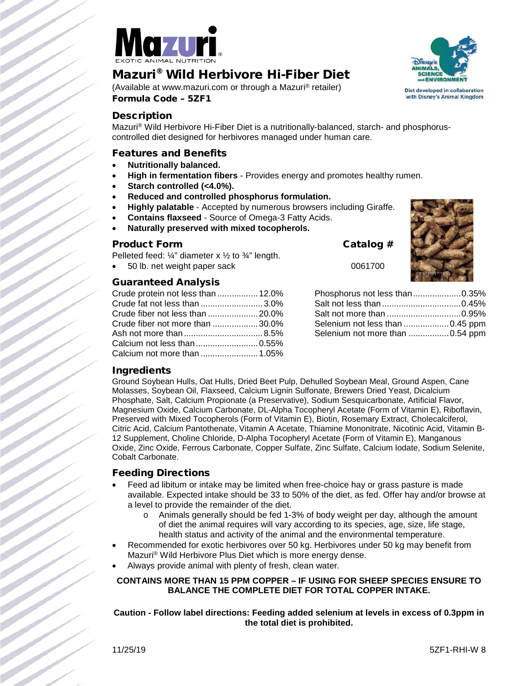

# Mazuri® Wild Herbivore Hi-Fiber Diet

(Available at www.mazuri.com or through a Mazuri® retailer) Formula Code – 5ZF1



### **Description**

Mazuri® Wild Herbivore Hi-Fiber Diet is a nutritionally-balanced, starch- and phosphoruscontrolled diet designed for herbivores managed under human care.

### Features and Benefits

- **Nutritionally balanced.**
- **High in fermentation fibers** Provides energy and promotes healthy rumen.
- Starch controlled (<4.0%).
- **Reduced and controlled phosphorus formulation.**
- **Highly palatable** Accepted by numerous browsers including Giraffe.
- **Contains flaxseed** Source of Omega-3 Fatty Acids.
- **Naturally preserved with mixed tocopherols.**

#### Product Form Catalog #

Pelleted feed:  $\frac{1}{4}$ " diameter x  $\frac{1}{2}$  to  $\frac{3}{4}$ " length.

• 50 lb. net weight paper sack 0061700

### Guaranteed Analysis

| Crude protein not less than  12.0% |  |
|------------------------------------|--|
| Crude fat not less than 3.0%       |  |
|                                    |  |
| Crude fiber not more than 30.0%    |  |
|                                    |  |
|                                    |  |
|                                    |  |



| Selenium not more than  0.54 ppm |  |
|----------------------------------|--|

### Ingredients

Ground Soybean Hulls, Oat Hulls, Dried Beet Pulp, Dehulled Soybean Meal, Ground Aspen, Cane Molasses, Soybean Oil, Flaxseed, Calcium Lignin Sulfonate, Brewers Dried Yeast, Dicalcium Phosphate, Salt, Calcium Propionate (a Preservative), Sodium Sesquicarbonate, Artificial Flavor, Magnesium Oxide, Calcium Carbonate, DL-Alpha Tocopheryl Acetate (Form of Vitamin E), Riboflavin, Preserved with Mixed Tocopherols (Form of Vitamin E), Biotin, Rosemary Extract, Cholecalciferol, Citric Acid, Calcium Pantothenate, Vitamin A Acetate, Thiamine Mononitrate, Nicotinic Acid, Vitamin B-12 Supplement, Choline Chloride, D-Alpha Tocopheryl Acetate (Form of Vitamin E), Manganous Oxide, Zinc Oxide, Ferrous Carbonate, Copper Sulfate, Zinc Sulfate, Calcium Iodate, Sodium Selenite, Cobalt Carbonate.

#### Feeding Directions

- Feed ad libitum or intake may be limited when free-choice hay or grass pasture is made available. Expected intake should be 33 to 50% of the diet, as fed. Offer hay and/or browse at a level to provide the remainder of the diet.
	- o Animals generally should be fed 1-3% of body weight per day, although the amount of diet the animal requires will vary according to its species, age, size, life stage, health status and activity of the animal and the environmental temperature.
- Recommended for exotic herbivores over 50 kg. Herbivores under 50 kg may benefit from Mazuri® Wild Herbivore Plus Diet which is more energy dense.
- Always provide animal with plenty of fresh, clean water.

### **CONTAINS MORE THAN 15 PPM COPPER – IF USING FOR SHEEP SPECIES ENSURE TO BALANCE THE COMPLETE DIET FOR TOTAL COPPER INTAKE.**

**Caution - Follow label directions: Feeding added selenium at levels in excess of 0.3ppm in the total diet is prohibited.**